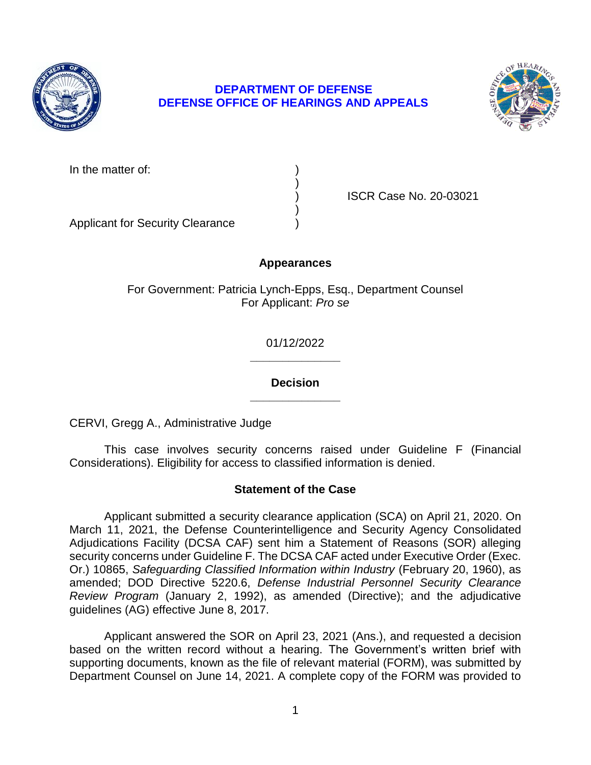

# **DEPARTMENT OF DEFENSE DEFENSE OFFICE OF HEARINGS AND APPEALS**



In the matter of:

) ISCR Case No. 20-03021

Applicant for Security Clearance )

# **Appearances**

)

)

For Government: Patricia Lynch-Epps, Esq., Department Counsel For Applicant: *Pro se* 

> **\_\_\_\_\_\_\_\_\_\_\_\_\_\_**  01/12/2022

> **\_\_\_\_\_\_\_\_\_\_\_\_\_\_ Decision**

CERVI, Gregg A., Administrative Judge

 This case involves security concerns raised under Guideline F (Financial Considerations). Eligibility for access to classified information is denied.

# **Statement of the Case**

 Applicant submitted a security clearance application (SCA) on April 21, 2020. On March 11, 2021, the Defense Counterintelligence and Security Agency Consolidated  Or.) 10865, *Safeguarding Classified Information within Industry* (February 20, 1960), as *Review Program* (January 2, 1992), as amended (Directive); and the adjudicative Adjudications Facility (DCSA CAF) sent him a Statement of Reasons (SOR) alleging security concerns under Guideline F. The DCSA CAF acted under Executive Order (Exec. amended; DOD Directive 5220.6, *Defense Industrial Personnel Security Clearance*  guidelines (AG) effective June 8, 2017.

 Applicant answered the SOR on April 23, 2021 (Ans.), and requested a decision based on the written record without a hearing. The Government's written brief with supporting documents, known as the file of relevant material (FORM), was submitted by Department Counsel on June 14, 2021. A complete copy of the FORM was provided to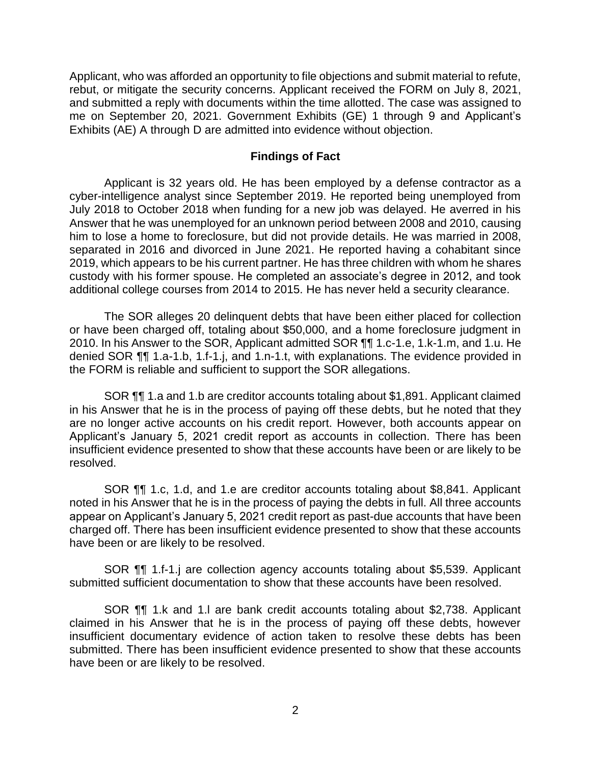Applicant, who was afforded an opportunity to file objections and submit material to refute, rebut, or mitigate the security concerns. Applicant received the FORM on July 8, 2021, and submitted a reply with documents within the time allotted. The case was assigned to me on September 20, 2021. Government Exhibits (GE) 1 through 9 and Applicant's Exhibits (AE) A through D are admitted into evidence without objection.

#### **Findings of Fact**

 Applicant is 32 years old. He has been employed by a defense contractor as a cyber-intelligence analyst since September 2019. He reported being unemployed from July 2018 to October 2018 when funding for a new job was delayed. He averred in his Answer that he was unemployed for an unknown period between 2008 and 2010, causing him to lose a home to foreclosure, but did not provide details. He was married in 2008, separated in 2016 and divorced in June 2021. He reported having a cohabitant since 2019, which appears to be his current partner. He has three children with whom he shares custody with his former spouse. He completed an associate's degree in 2012, and took additional college courses from 2014 to 2015. He has never held a security clearance.

 The SOR alleges 20 delinquent debts that have been either placed for collection or have been charged off, totaling about \$50,000, and a home foreclosure judgment in 2010. In his Answer to the SOR, Applicant admitted SOR  $\P\P$  1.c-1.e, 1.k-1.m, and 1.u. He denied SOR ¶¶ 1.a-1.b, 1.f-1.j, and 1.n-1.t, with explanations. The evidence provided in the FORM is reliable and sufficient to support the SOR allegations.

 SOR ¶¶ 1.a and 1.b are creditor accounts totaling about \$1,891. Applicant claimed in his Answer that he is in the process of paying off these debts, but he noted that they Applicant's January 5, 2021 credit report as accounts in collection. There has been insufficient evidence presented to show that these accounts have been or are likely to be are no longer active accounts on his credit report. However, both accounts appear on resolved.

 SOR ¶¶ 1.c, 1.d, and 1.e are creditor accounts totaling about \$8,841. Applicant noted in his Answer that he is in the process of paying the debts in full. All three accounts appear on Applicant's January 5, 2021 credit report as past-due accounts that have been charged off. There has been insufficient evidence presented to show that these accounts have been or are likely to be resolved.

 SOR ¶¶ 1.f-1.j are collection agency accounts totaling about \$5,539. Applicant submitted sufficient documentation to show that these accounts have been resolved.

 SOR ¶¶ 1.k and 1.l are bank credit accounts totaling about \$2,738. Applicant claimed in his Answer that he is in the process of paying off these debts, however insufficient documentary evidence of action taken to resolve these debts has been submitted. There has been insufficient evidence presented to show that these accounts have been or are likely to be resolved.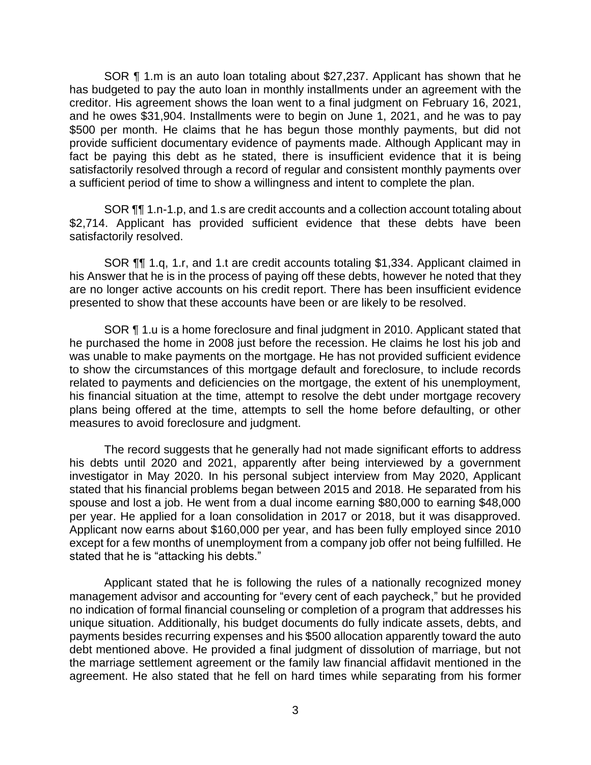SOR ¶ 1.m is an auto loan totaling about \$27,237. Applicant has shown that he has budgeted to pay the auto loan in monthly installments under an agreement with the creditor. His agreement shows the loan went to a final judgment on February 16, 2021, and he owes \$31,904. Installments were to begin on June 1, 2021, and he was to pay \$500 per month. He claims that he has begun those monthly payments, but did not provide sufficient documentary evidence of payments made. Although Applicant may in fact be paying this debt as he stated, there is insufficient evidence that it is being a sufficient period of time to show a willingness and intent to complete the plan. satisfactorily resolved through a record of regular and consistent monthly payments over

SOR ¶¶ 1.n-1.p, and 1.s are credit accounts and a collection account totaling about \$2,714. Applicant has provided sufficient evidence that these debts have been satisfactorily resolved.

 SOR ¶¶ 1.q, 1.r, and 1.t are credit accounts totaling \$1,334. Applicant claimed in his Answer that he is in the process of paying off these debts, however he noted that they are no longer active accounts on his credit report. There has been insufficient evidence presented to show that these accounts have been or are likely to be resolved.

SOR ¶ 1.u is a home foreclosure and final judgment in 2010. Applicant stated that he purchased the home in 2008 just before the recession. He claims he lost his job and was unable to make payments on the mortgage. He has not provided sufficient evidence to show the circumstances of this mortgage default and foreclosure, to include records related to payments and deficiencies on the mortgage, the extent of his unemployment, his financial situation at the time, attempt to resolve the debt under mortgage recovery plans being offered at the time, attempts to sell the home before defaulting, or other measures to avoid foreclosure and judgment.

 The record suggests that he generally had not made significant efforts to address his debts until 2020 and 2021, apparently after being interviewed by a government investigator in May 2020. In his personal subject interview from May 2020, Applicant stated that his financial problems began between 2015 and 2018. He separated from his spouse and lost a job. He went from a dual income earning \$80,000 to earning \$48,000 per year. He applied for a loan consolidation in 2017 or 2018, but it was disapproved. Applicant now earns about \$160,000 per year, and has been fully employed since 2010 except for a few months of unemployment from a company job offer not being fulfilled. He stated that he is "attacking his debts."

 Applicant stated that he is following the rules of a nationally recognized money management advisor and accounting for "every cent of each paycheck," but he provided no indication of formal financial counseling or completion of a program that addresses his unique situation. Additionally, his budget documents do fully indicate assets, debts, and payments besides recurring expenses and his \$500 allocation apparently toward the auto debt mentioned above. He provided a final judgment of dissolution of marriage, but not the marriage settlement agreement or the family law financial affidavit mentioned in the agreement. He also stated that he fell on hard times while separating from his former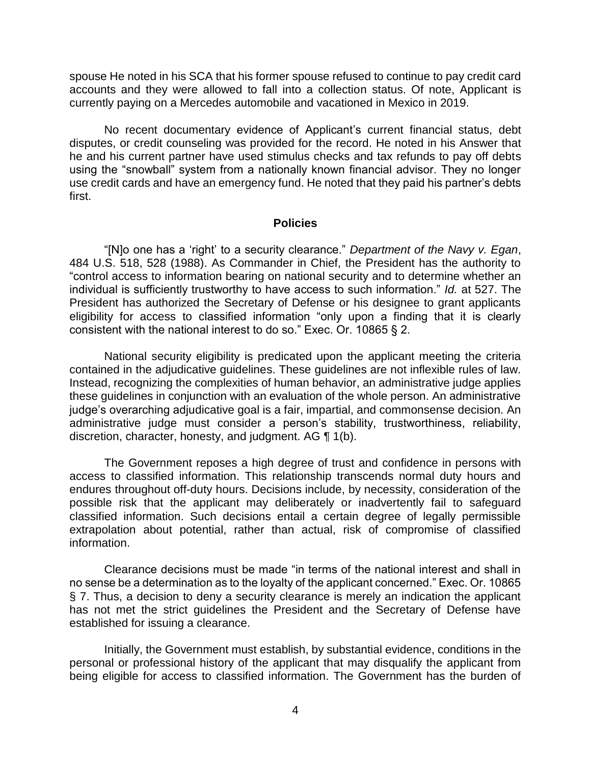spouse He noted in his SCA that his former spouse refused to continue to pay credit card accounts and they were allowed to fall into a collection status. Of note, Applicant is currently paying on a Mercedes automobile and vacationed in Mexico in 2019.

 No recent documentary evidence of Applicant's current financial status, debt he and his current partner have used stimulus checks and tax refunds to pay off debts using the "snowball" system from a nationally known financial advisor. They no longer use credit cards and have an emergency fund. He noted that they paid his partner's debts disputes, or credit counseling was provided for the record. He noted in his Answer that first.

#### **Policies**

 "[N]o one has a 'right' to a security clearance." *Department of the Navy v. Egan*, 484 U.S. 518, 528 (1988). As Commander in Chief, the President has the authority to "control access to information bearing on national security and to determine whether an individual is sufficiently trustworthy to have access to such information." *Id.* at 527. The President has authorized the Secretary of Defense or his designee to grant applicants eligibility for access to classified information "only upon a finding that it is clearly consistent with the national interest to do so." Exec. Or. 10865 § 2.

 National security eligibility is predicated upon the applicant meeting the criteria contained in the adjudicative guidelines. These guidelines are not inflexible rules of law. Instead, recognizing the complexities of human behavior, an administrative judge applies these guidelines in conjunction with an evaluation of the whole person. An administrative administrative judge must consider a person's stability, trustworthiness, reliability, discretion, character, honesty, and judgment. AG ¶ 1(b). judge's overarching adjudicative goal is a fair, impartial, and commonsense decision. An

 The Government reposes a high degree of trust and confidence in persons with access to classified information. This relationship transcends normal duty hours and endures throughout off-duty hours. Decisions include, by necessity, consideration of the possible risk that the applicant may deliberately or inadvertently fail to safeguard classified information. Such decisions entail a certain degree of legally permissible extrapolation about potential, rather than actual, risk of compromise of classified information.

 Clearance decisions must be made "in terms of the national interest and shall in no sense be a determination as to the loyalty of the applicant concerned." Exec. Or. 10865 § 7. Thus, a decision to deny a security clearance is merely an indication the applicant has not met the strict guidelines the President and the Secretary of Defense have established for issuing a clearance.

 Initially, the Government must establish, by substantial evidence, conditions in the personal or professional history of the applicant that may disqualify the applicant from being eligible for access to classified information. The Government has the burden of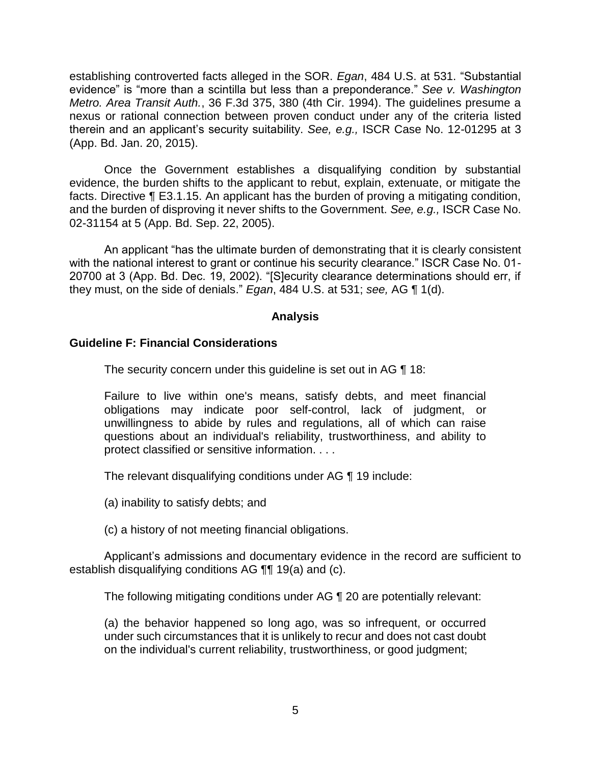establishing controverted facts alleged in the SOR. *Egan*, 484 U.S. at 531. "Substantial evidence" is "more than a scintilla but less than a preponderance." *See v. Washington Metro. Area Transit Auth.*, 36 F.3d 375, 380 (4th Cir. 1994). The guidelines presume a nexus or rational connection between proven conduct under any of the criteria listed therein and an applicant's security suitability. *See, e.g.,* ISCR Case No. 12-01295 at 3 (App. Bd. Jan. 20, 2015).

 Once the Government establishes a disqualifying condition by substantial evidence, the burden shifts to the applicant to rebut, explain, extenuate, or mitigate the facts. Directive ¶ E3.1.15. An applicant has the burden of proving a mitigating condition, and the burden of disproving it never shifts to the Government. *See, e.g.,* ISCR Case No. 02-31154 at 5 (App. Bd. Sep. 22, 2005).

An applicant "has the ultimate burden of demonstrating that it is clearly consistent with the national interest to grant or continue his security clearance." ISCR Case No. 01- 20700 at 3 (App. Bd. Dec. 19, 2002). "[S]ecurity clearance determinations should err, if they must, on the side of denials." *Egan*, 484 U.S. at 531; *see,* AG ¶ 1(d).

### **Analysis**

## **Guideline F: Financial Considerations**

The security concern under this guideline is set out in AG ¶ 18:

Failure to live within one's means, satisfy debts, and meet financial obligations may indicate poor self-control, lack of judgment, or unwillingness to abide by rules and regulations, all of which can raise questions about an individual's reliability, trustworthiness, and ability to protect classified or sensitive information. . . .

The relevant disqualifying conditions under AG ¶ 19 include:

(a) inability to satisfy debts; and

(c) a history of not meeting financial obligations.

 Applicant's admissions and documentary evidence in the record are sufficient to establish disqualifying conditions AG ¶¶ 19(a) and (c).

The following mitigating conditions under AG ¶ 20 are potentially relevant:

 (a) the behavior happened so long ago, was so infrequent, or occurred under such circumstances that it is unlikely to recur and does not cast doubt on the individual's current reliability, trustworthiness, or good judgment;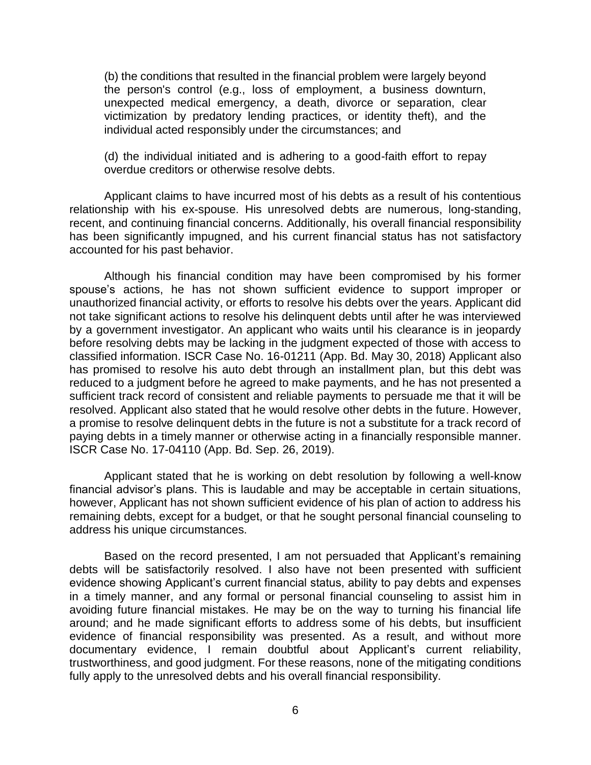(b) the conditions that resulted in the financial problem were largely beyond the person's control (e.g., loss of employment, a business downturn, unexpected medical emergency, a death, divorce or separation, clear victimization by predatory lending practices, or identity theft), and the individual acted responsibly under the circumstances; and

(d) the individual initiated and is adhering to a good-faith effort to repay overdue creditors or otherwise resolve debts.

 Applicant claims to have incurred most of his debts as a result of his contentious relationship with his ex-spouse. His unresolved debts are numerous, long-standing, recent, and continuing financial concerns. Additionally, his overall financial responsibility has been significantly impugned, and his current financial status has not satisfactory accounted for his past behavior.

 Although his financial condition may have been compromised by his former spouse's actions, he has not shown sufficient evidence to support improper or unauthorized financial activity, or efforts to resolve his debts over the years. Applicant did not take significant actions to resolve his delinquent debts until after he was interviewed by a government investigator. An applicant who waits until his clearance is in jeopardy before resolving debts may be lacking in the judgment expected of those with access to classified information. ISCR Case No. 16-01211 (App. Bd. May 30, 2018) Applicant also has promised to resolve his auto debt through an installment plan, but this debt was reduced to a judgment before he agreed to make payments, and he has not presented a sufficient track record of consistent and reliable payments to persuade me that it will be resolved. Applicant also stated that he would resolve other debts in the future. However, a promise to resolve delinquent debts in the future is not a substitute for a track record of paying debts in a timely manner or otherwise acting in a financially responsible manner. ISCR Case No. 17-04110 (App. Bd. Sep. 26, 2019).

 Applicant stated that he is working on debt resolution by following a well-know financial advisor's plans. This is laudable and may be acceptable in certain situations, however, Applicant has not shown sufficient evidence of his plan of action to address his remaining debts, except for a budget, or that he sought personal financial counseling to address his unique circumstances.

 Based on the record presented, I am not persuaded that Applicant's remaining debts will be satisfactorily resolved. I also have not been presented with sufficient evidence showing Applicant's current financial status, ability to pay debts and expenses in a timely manner, and any formal or personal financial counseling to assist him in avoiding future financial mistakes. He may be on the way to turning his financial life around; and he made significant efforts to address some of his debts, but insufficient evidence of financial responsibility was presented. As a result, and without more trustworthiness, and good judgment. For these reasons, none of the mitigating conditions documentary evidence, I remain doubtful about Applicant's current reliability, fully apply to the unresolved debts and his overall financial responsibility.